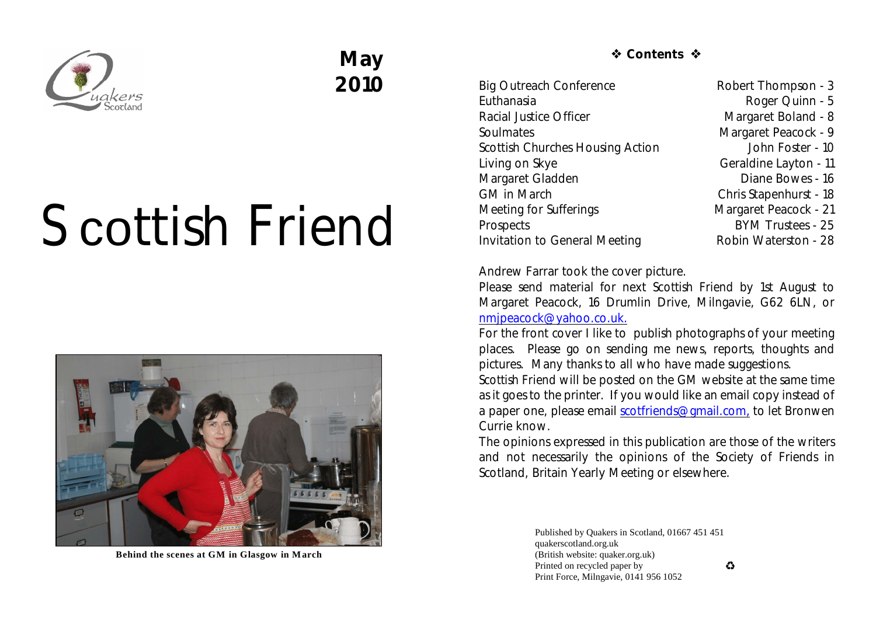

## **May 2010**

# Scottish Friend



**Behind the scenes at GM in Glasgow in March**

*S* Contents �

Big Outreach Conference Robert Thompson - 3 Euthanasia **Roger Quinn - 5** Racial Justice Officer Margaret Boland - 8 Soulmates Margaret Peacock - 9 Scottish Churches Housing Action **John Foster - 10** Living on Skye Geraldine Layton - 11 Margaret Gladden **Diane Bowes** - 16 GM in March Chris Stapenhurst - 18 Meeting for Sufferings Margaret Peacock - 21 Prospects BYM Trustees - 25 Invitation to General Meeting Robin Waterston - 28

Andrew Farrar took the cover picture.

Please send material for next *Scottish Friend* by 1st August to Margaret Peacock, 16 Drumlin Drive, Milngavie, G62 6LN, or [nmjpeacock@yahoo.co.uk.](mailto:nmjpeacock@yahoo.co.uk.)

For the front cover I like to publish photographs of your meeting places. Please go on sending me news, reports, thoughts and pictures. Many thanks to all who have made suggestions.

*Scottish Friend* will be posted on the GM website at the same time as it goes to the printer. If you would like an email copy instead of a paper one, please email [scotfriends@gmail.com,](mailto:scotfriends@aol.com,) to let Bronwen Currie know.

The opinions expressed in this publication are those of the writers and not necessarily the opinions of the Society of Friends in Scotland, Britain Yearly Meeting or elsewhere.

> Published by Quakers in Scotland, 01667 451 451 quakerscotland.org.uk (British website: quaker.org.uk) Printed on recycled paper by Print Force, Milngavie, 0141 956 1052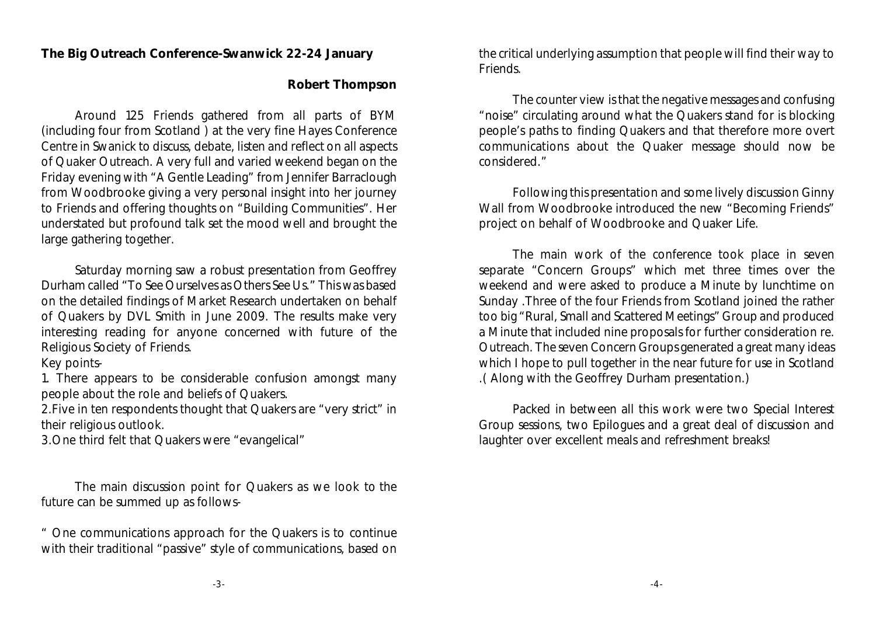#### **The Big Outreach Conference-Swanwick 22-24 January**

### **Robert Thompson**

Around 125 Friends gathered from all parts of BYM (including four from Scotland ) at the very fine Hayes Conference Centre in Swanick to discuss, debate, listen and reflect on all aspects of Quaker Outreach. A very full and varied weekend began on the Friday evening with "A Gentle Leading" from Jennifer Barraclough from Woodbrooke giving a very personal insight into her journey to Friends and offering thoughts on "Building Communities". Her understated but profound talk set the mood well and brought the large gathering together.

Saturday morning saw a robust presentation from Geoffrey Durham called "To See Ourselves as Others See Us." This was based on the detailed findings of Market Research undertaken on behalf of Quakers by DVL Smith in June 2009. The results make very interesting reading for anyone concerned with future of the Religious Society of Friends.

#### Key points-

1. There appears to be considerable confusion amongst many people about the role and beliefs of Quakers.

2.Five in ten respondents thought that Quakers are "very strict" in their religious outlook.

3.One third felt that Quakers were "evangelical"

The main discussion point for Quakers as we look to the future can be summed up as follows-

" One communications approach for the Quakers is to continue with their traditional "passive" style of communications, based on the critical underlying assumption that people will find their way to Friends.

The counter view is that the negative messages and confusing "noise" circulating around what the Quakers stand for is blocking people's paths to finding Quakers and that therefore more overt communications about the Quaker message should now be considered."

Following this presentation and some lively discussion Ginny Wall from Woodbrooke introduced the new "Becoming Friends" project on behalf of Woodbrooke and Quaker Life.

The main work of the conference took place in seven separate "Concern Groups" which met three times over the weekend and were asked to produce a Minute by lunchtime on Sunday .Three of the four Friends from Scotland joined the rather too big "Rural, Small and Scattered Meetings" Group and produced a Minute that included nine proposals for further consideration re. Outreach. The seven Concern Groups generated a great many ideas which I hope to pull together in the near future for use in Scotland .( Along with the Geoffrey Durham presentation.)

Packed in between all this work were two Special Interest Group sessions, two Epilogues and a great deal of discussion and laughter over excellent meals and refreshment breaks!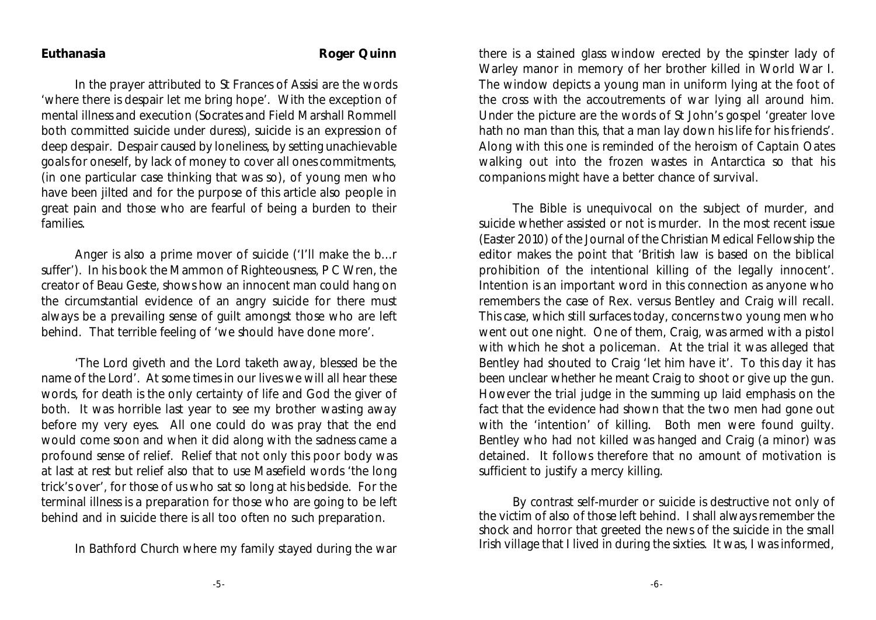#### Euthanasia **Roger Quinn**

In the prayer attributed to St Frances of Assisi are the words 'where there is despair let me bring hope'. With the exception of mental illness and execution (Socrates and Field Marshall Rommell both committed suicide under duress), suicide is an expression of deep despair. Despair caused by loneliness, by setting unachievable goals for oneself, by lack of money to cover all ones commitments, (in one particular case thinking that was so), of young men who have been jilted and for the purpose of this article also people in great pain and those who are fearful of being a burden to their families.

Anger is also a prime mover of suicide ('I'll make the b...r suffer'). In his book the Mammon of Righteousness, P C Wren, the creator of Beau Geste, shows how an innocent man could hang on the circumstantial evidence of an angry suicide for there must always be a prevailing sense of guilt amongst those who are left behind. That terrible feeling of 'we should have done more'.

'The Lord giveth and the Lord taketh away, blessed be the name of the Lord'. At some times in our lives we will all hear these words, for death is the only certainty of life and God the giver of both. It was horrible last year to see my brother wasting away before my very eyes. All one could do was pray that the end would come soon and when it did along with the sadness came a profound sense of relief. Relief that not only this poor body was at last at rest but relief also that to use Masefield words 'the long trick's over', for those of us who sat so long at his bedside. For the terminal illness is a preparation for those who are going to be left behind and in suicide there is all too often no such preparation.

In Bathford Church where my family stayed during the war

there is a stained glass window erected by the spinster lady of Warley manor in memory of her brother killed in World War I. The window depicts a young man in uniform lying at the foot of the cross with the accoutrements of war lying all around him. Under the picture are the words of St John's gospel 'greater love hath no man than this, that a man lay down his life for his friends'. Along with this one is reminded of the heroism of Captain Oates walking out into the frozen wastes in Antarctica so that his companions might have a better chance of survival.

The Bible is unequivocal on the subject of murder, and suicide whether assisted or not is murder. In the most recent issue (Easter 2010) of the Journal of the Christian Medical Fellowship the editor makes the point that 'British law is based on the biblical prohibition of the intentional killing of the legally innocent'. Intention is an important word in this connection as anyone who remembers the case of Rex. versus Bentley and Craig will recall. This case, which still surfaces today, concerns two young men who went out one night. One of them, Craig, was armed with a pistol with which he shot a policeman. At the trial it was alleged that Bentley had shouted to Craig 'let him have it'. To this day it has been unclear whether he meant Craig to shoot or give up the gun. However the trial judge in the summing up laid emphasis on the fact that the evidence had shown that the two men had gone out with the 'intention' of killing. Both men were found guilty. Bentley who had not killed was hanged and Craig (a minor) was detained. It follows therefore that no amount of motivation is sufficient to justify a mercy killing.

By contrast self-murder or suicide is destructive not only of the victim of also of those left behind. I shall always remember the shock and horror that greeted the news of the suicide in the small Irish village that I lived in during the sixties. It was, I was informed,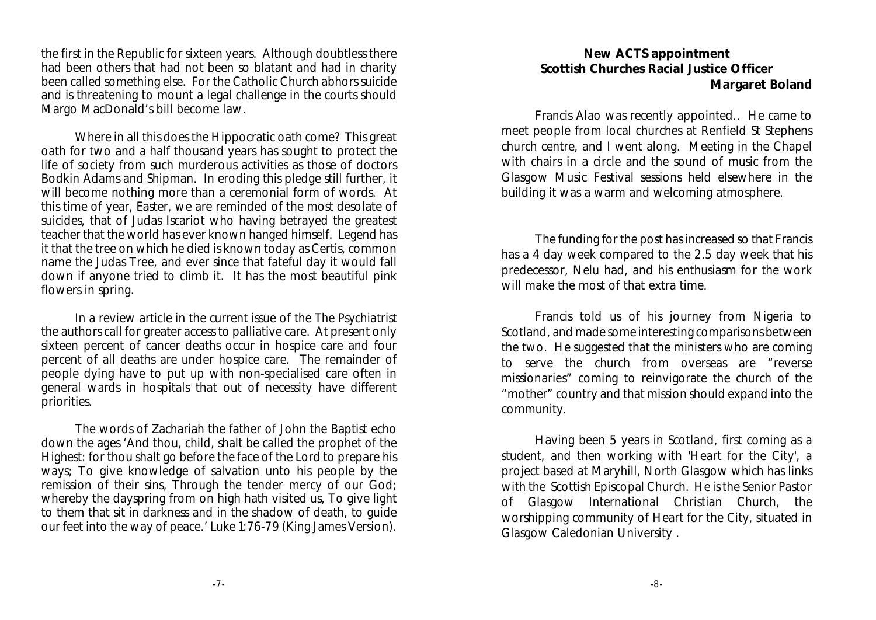the first in the Republic for sixteen years. Although doubtless there had been others that had not been so blatant and had in charity been called something else. For the Catholic Church abhors suicide and is threatening to mount a legal challenge in the courts should Margo MacDonald's bill become law.

Where in all this does the Hippocratic oath come? This great oath for two and a half thousand years has sought to protect the life of society from such murderous activities as those of doctors Bodkin Adams and Shipman. In eroding this pledge still further, it will become nothing more than a ceremonial form of words. At this time of year, Easter, we are reminded of the most desolate of suicides, that of Judas Iscariot who having betrayed the greatest teacher that the world has ever known hanged himself. Legend has it that the tree on which he died is known today as Certis, common name the Judas Tree, and ever since that fateful day it would fall down if anyone tried to climb it. It has the most beautiful pink flowers in spring.

In a review article in the current issue of the *The Psychiatrist* the authors call for greater access to palliative care. At present only sixteen percent of cancer deaths occur in hospice care and four percent of all deaths are under hospice care. The remainder of people dying have to put up with non-specialised care often in general wards in hospitals that out of necessity have different priorities.

The words of Zachariah the father of John the Baptist echo down the ages 'And thou, child, shalt be called the prophet of the Highest: for thou shalt go before the face of the Lord to prepare his ways; To give knowledge of salvation unto his people by the remission of their sins, Through the tender mercy of our God; whereby the dayspring from on high hath visited us, To give light to them that sit in darkness and in the shadow of death, to guide our feet into the way of peace.' Luke 1:76-79 (King James Version).

#### **New ACTS appointment Scottish Churches Racial Justice Officer Margaret Boland**

Francis Alao was recently appointed.. He came to meet people from local churches at Renfield St Stephens church centre, and I went along. Meeting in the Chapel with chairs in a circle and the sound of music from the Glasgow Music Festival sessions held elsewhere in the building it was a warm and welcoming atmosphere.

The funding for the post has increased so that Francis has a 4 day week compared to the 2.5 day week that his predecessor, Nelu had, and his enthusiasm for the work will make the most of that extra time.

Francis told us of his journey from Nigeria to Scotland, and made some interesting comparisons between the two. He suggested that the ministers who are coming to serve the church from overseas are "reverse missionaries" coming to reinvigorate the church of the "mother" country and that mission should expand into the community.

Having been 5 years in Scotland, first coming as a student, and then working with 'Heart for the City', a project based at Maryhill, North Glasgow which has links with the Scottish Episcopal Church. He is the Senior Pastor of Glasgow International Christian Church, the worshipping community of Heart for the City, situated in Glasgow Caledonian University .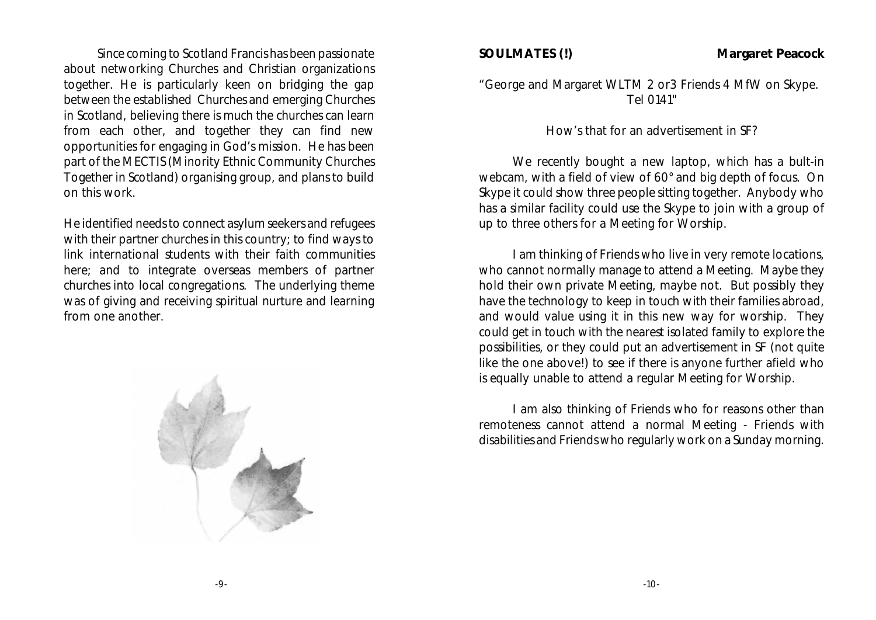Since coming to Scotland Francis has been passionate about networking Churches and Christian organizations together. He is particularly keen on bridging the gap between the established Churches and emerging Churches in Scotland, believing there is much the churches can learn from each other, and together they can find new opportunities for engaging in God's mission. He has been part of the MECTIS (Minority Ethnic Community Churches Together in Scotland) organising group, and plans to build on this work.

He identified needs to connect asylum seekers and refugees with their partner churches in this country; to find ways to link international students with their faith communities here; and to integrate overseas members of partner churches into local congregations. The underlying theme was of giving and receiving spiritual nurture and learning from one another.



**SOULMATES (!) Margaret Peacock**

"George and Margaret WLTM 2 or3 Friends 4 MfW on Skype. Tel 0141"

How's that for an advertisement in SF?

We recently bought a new laptop, which has a bult-in webcam, with a field of view of 60° and big depth of focus. On Skype it could show three people sitting together. Anybody who has a similar facility could use the Skype to join with a group of up to three others for a Meeting for Worship.

I am thinking of Friends who live in very remote locations, who cannot normally manage to attend a Meeting. Maybe they hold their own private Meeting, maybe not. But possibly they have the technology to keep in touch with their families abroad, and would value using it in this new way for worship. They could get in touch with the nearest isolated family to explore the possibilities, or they could put an advertisement in SF (not quite like the one above!) to see if there is anyone further afield who is equally unable to attend a regular Meeting for Worship.

I am also thinking of Friends who for reasons other than remoteness cannot attend a normal Meeting - Friends with disabilities and Friends who regularly work on a Sunday morning.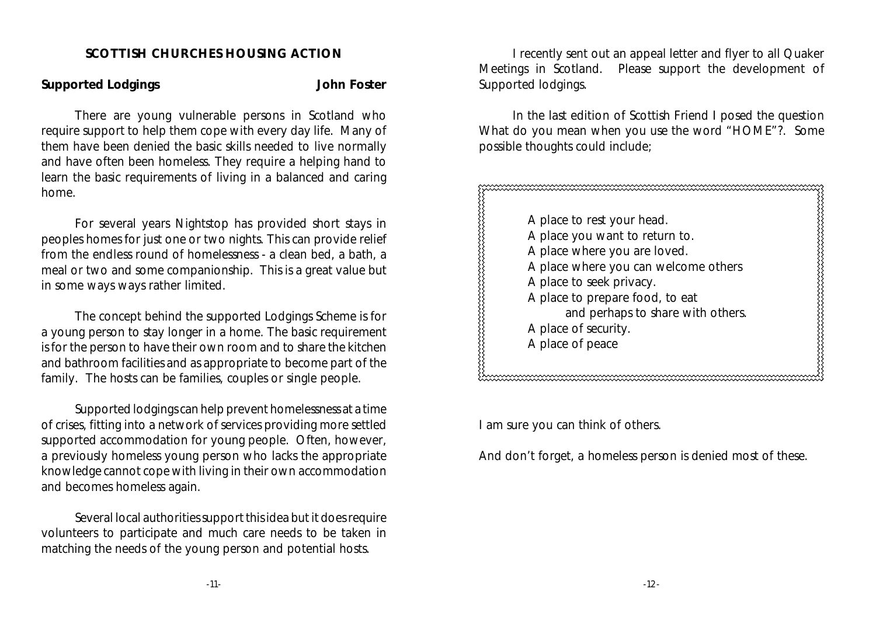#### **SCOTTISH CHURCHES HOUSING ACTION**

**Supported Lodgings John Foster**

There are young vulnerable persons in Scotland who require support to help them cope with every day life. Many of them have been denied the basic skills needed to live normally and have often been homeless. They require a helping hand to learn the basic requirements of living in a balanced and caring home.

For several years Nightstop has provided short stays in peoples homes for just one or two nights. This can provide relief from the endless round of homelessness - a clean bed, a bath, a meal or two and some companionship. This is a great value but in some ways ways rather limited.

The concept behind the supported Lodgings Scheme is for a young person to stay longer in a home. The basic requirement is for the person to have their own room and to share the kitchen and bathroom facilities and as appropriate to become part of the family. The hosts can be families, couples or single people.

Supported lodgings can help prevent homelessness at a time of crises, fitting into a network of services providing more settled supported accommodation for young people. Often, however, a previously homeless young person who lacks the appropriate knowledge cannot cope with living in their own accommodation and becomes homeless again.

Several local authorities support this idea but it does require volunteers to participate and much care needs to be taken in matching the needs of the young person and potential hosts.

I recently sent out an appeal letter and flyer to all Quaker Meetings in Scotland. Please support the development of Supported lodgings.

In the last edition of Scottish Friend I posed the question What do you mean when you use the word "HOME"?. Some possible thoughts could include;

www.www.www.www.www.www.www.www.ww A place to rest your head. A place you want to return to. A place where you are loved. A place where you can welcome others A place to seek privacy. A place to prepare food, to eat and perhaps to share with others. A place of security. A place of peace

I am sure you can think of others.

And don't forget, a homeless person is denied most of these.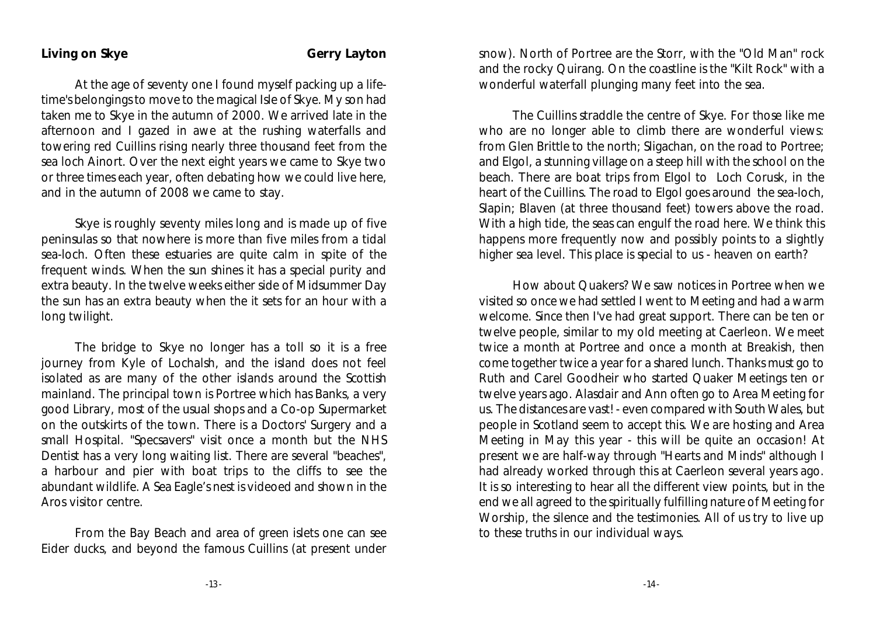At the age of seventy one I found myself packing up a lifetime's belongings to move to the magical Isle of Skye. My son had taken me to Skye in the autumn of 2000. We arrived late in the afternoon and I gazed in awe at the rushing waterfalls and towering red Cuillins rising nearly three thousand feet from the sea loch Ainort. Over the next eight years we came to Skye two or three times each year, often debating how we could live here, and in the autumn of 2008 we came to stay.

Skye is roughly seventy miles long and is made up of five peninsulas so that nowhere is more than five miles from a tidal sea-loch. Often these estuaries are quite calm in spite of the frequent winds. When the sun shines it has a special purity and extra beauty. In the twelve weeks either side of Midsummer Day the sun has an extra beauty when the it sets for an hour with a long twilight.

The bridge to Skye no longer has a toll so it is a free journey from Kyle of Lochalsh, and the island does not feel isolated as are many of the other islands around the Scottish mainland. The principal town is Portree which has Banks, a very good Library, most of the usual shops and a Co-op Supermarket on the outskirts of the town. There is a Doctors' Surgery and a small Hospital. "Specsavers" visit once a month but the NHS Dentist has a very long waiting list. There are several "beaches", a harbour and pier with boat trips to the cliffs to see the abundant wildlife. A Sea Eagle's nest is videoed and shown in the Aros visitor centre.

From the Bay Beach and area of green islets one can see Eider ducks, and beyond the famous Cuillins (at present under

snow). North of Portree are the Storr, with the "Old Man" rock and the rocky Quirang. On the coastline is the "Kilt Rock" with a wonderful waterfall plunging many feet into the sea.

The Cuillins straddle the centre of Skye. For those like me who are no longer able to climb there are wonderful views: from Glen Brittle to the north; Sligachan, on the road to Portree; and Elgol, a stunning village on a steep hill with the school on the beach. There are boat trips from Elgol to Loch Corusk, in the heart of the Cuillins. The road to Elgol goes around the sea-loch, Slapin; Blaven (at three thousand feet) towers above the road. With a high tide, the seas can engulf the road here. We think this happens more frequently now and possibly points to a slightly higher sea level. This place is special to us - heaven on earth?

How about Quakers? We saw notices in Portree when we visited so once we had settled I went to Meeting and had a warm welcome. Since then I've had great support. There can be ten or twelve people, similar to my old meeting at Caerleon. We meet twice a month at Portree and once a month at Breakish, then come together twice a year for a shared lunch. Thanks must go to Ruth and Carel Goodheir who started Quaker Meetings ten or twelve years ago. Alasdair and Ann often go to Area Meeting for us. The distances are vast! - even compared with South Wales, but people in Scotland seem to accept this. We are hosting and Area Meeting in May this year - this will be quite an occasion! At present we are half-way through "Hearts and Minds" although I had already worked through this at Caerleon several years ago. It is so interesting to hear all the different view points, but in the end we all agreed to the spiritually fulfilling nature of Meeting for Worship, the silence and the testimonies. All of us try to live up to these truths in our individual ways.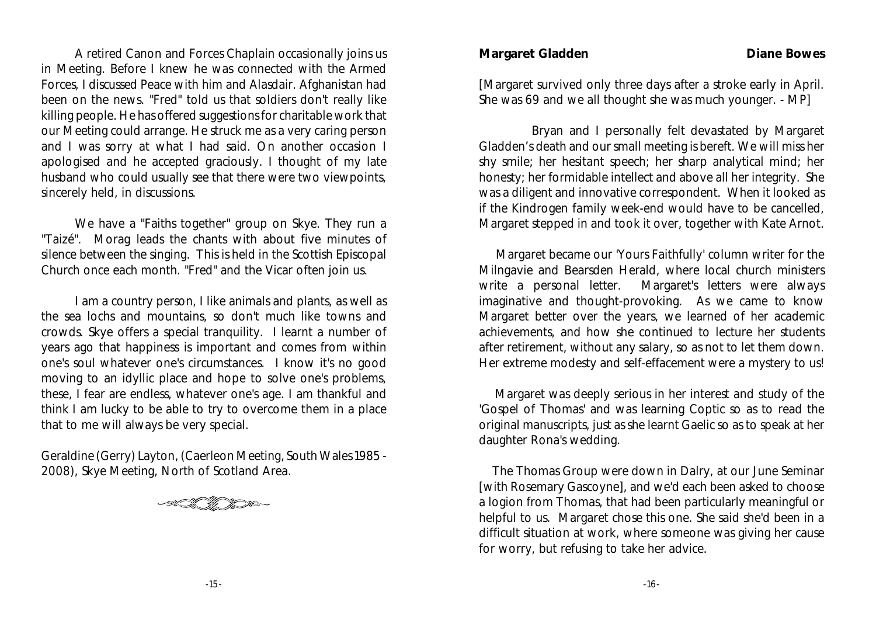A retired Canon and Forces Chaplain occasionally joins us in Meeting. Before I knew he was connected with the Armed Forces, I discussed Peace with him and Alasdair. Afghanistan had been on the news. "Fred" told us that soldiers don't really like killing people. He has offered suggestions for charitable work that our Meeting could arrange. He struck me as a very caring person and I was sorry at what I had said. On another occasion I apologised and he accepted graciously. I thought of my late husband who could usually see that there were two viewpoints, sincerely held, in discussions.

We have a "Faiths together" group on Skye. They run a "Taizé". Morag leads the chants with about five minutes of silence between the singing. This is held in the Scottish Episcopal Church once each month. "Fred" and the Vicar often join us.

I am a country person, I like animals and plants, as well as the sea lochs and mountains, so don't much like towns and crowds. Skye offers a special tranquility. I learnt a number of years ago that happiness is important and comes from within one's soul whatever one's circumstances. I know it's no good moving to an idyllic place and hope to solve one's problems, these, I fear are endless, whatever one's age. I am thankful and think I am lucky to be able to try to overcome them in a place that to me will always be very special.

Geraldine (Gerry) Layton, (Caerleon Meeting, South Wales 1985 - 2008), Skye Meeting, North of Scotland Area.

**Margaret Gladden Diane Bowes** 

[Margaret survived only three days after a stroke early in April. She was 69 and we all thought she was much younger. - MP]

 Bryan and I personally felt devastated by Margaret Gladden's death and our small meeting is bereft. We will miss her shy smile; her hesitant speech; her sharp analytical mind; her honesty; her formidable intellect and above all her integrity. She was a diligent and innovative correspondent. When it looked as if the Kindrogen family week-end would have to be cancelled, Margaret stepped in and took it over, together with Kate Arnot.

 Margaret became our 'Yours Faithfully' column writer for the Milngavie and Bearsden Herald, where local church ministers write a personal letter. Margaret's letters were always imaginative and thought-provoking. As we came to know Margaret better over the years, we learned of her academic achievements, and how she continued to lecture her students after retirement, without any salary, so as not to let them down. Her extreme modesty and self-effacement were a mystery to us!

 Margaret was deeply serious in her interest and study of the 'Gospel of Thomas' and was learning Coptic so as to read the original manuscripts, just as she learnt Gaelic so as to speak at her daughter Rona's wedding.

 The Thomas Group were down in Dalry, at our June Seminar [with Rosemary Gascoyne], and we'd each been asked to choose a logion from Thomas, that had been particularly meaningful or helpful to us. Margaret chose this one. She said she'd been in a difficult situation at work, where someone was giving her cause for worry, but refusing to take her advice.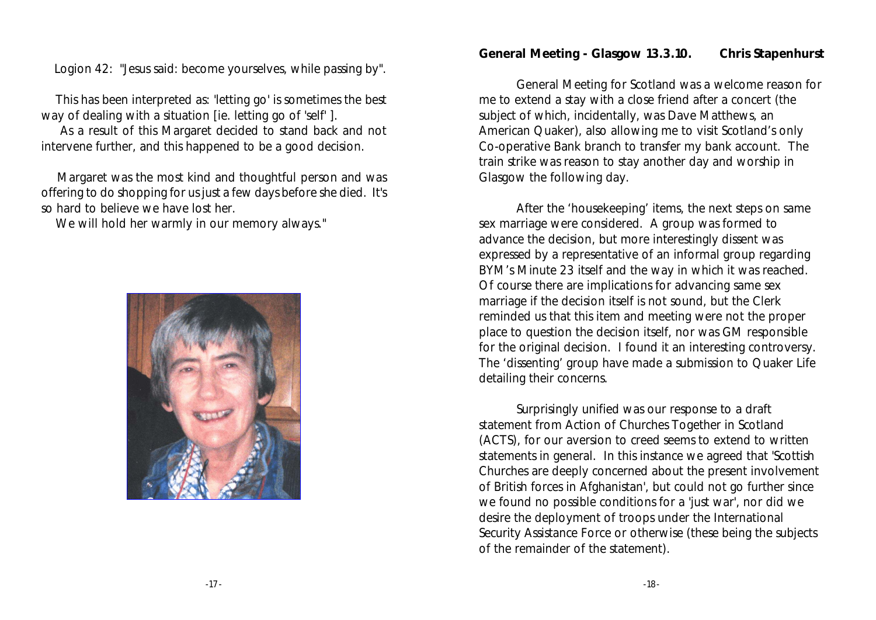Logion 42: "Jesus said: become yourselves, while passing by".

 This has been interpreted as: 'letting go' is sometimes the best way of dealing with a situation [ie. letting go of 'self' ].

 As a result of this Margaret decided to stand back and not intervene further, and this happened to be a good decision.

 Margaret was the most kind and thoughtful person and was offering to do shopping for us just a few days before she died. It's so hard to believe we have lost her.

We will hold her warmly in our memory always."



**General Meeting - Glasgow 13.3.10. Chris Stapenhurst**

General Meeting for Scotland was a welcome reason for me to extend a stay with a close friend after a concert (the subject of which, incidentally, was Dave Matthews, an American Quaker), also allowing me to visit Scotland's only Co-operative Bank branch to transfer my bank account. The train strike was reason to stay another day and worship in Glasgow the following day.

After the 'housekeeping' items, the next steps on same sex marriage were considered. A group was formed to advance the decision, but more interestingly dissent was expressed by a representative of an informal group regarding BYM's Minute 23 itself and the way in which it was reached. Of course there are implications for advancing same sex marriage if the decision itself is not sound, but the Clerk reminded us that this item and meeting were not the proper place to question the decision itself, nor was GM responsible for the original decision. I found it an interesting controversy. The 'dissenting' group have made a submission to Quaker Life detailing their concerns.

Surprisingly unified was our response to a draft statement from Action of Churches Together in Scotland (ACTS), for our aversion to creed seems to extend to written statements in general. In this instance we agreed that 'Scottish Churches are deeply concerned about the present involvement of British forces in Afghanistan', but could not go further since we found no possible conditions for a 'just war', nor did we desire the deployment of troops under the International Security Assistance Force or otherwise (these being the subjects of the remainder of the statement).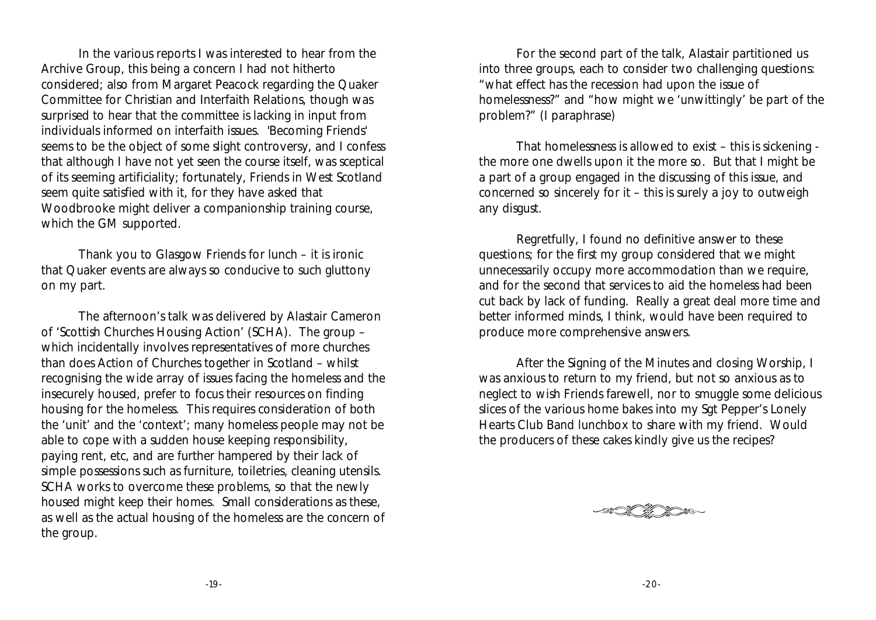In the various reports I was interested to hear from the Archive Group, this being a concern I had not hitherto considered; also from Margaret Peacock regarding the Quaker Committee for Christian and Interfaith Relations, though was surprised to hear that the committee is lacking in input from individuals informed on interfaith issues. 'Becoming Friends' seems to be the object of some slight controversy, and I confess that although I have not yet seen the course itself, was sceptical of its seeming artificiality; fortunately, Friends in West Scotland seem quite satisfied with it, for they have asked that Woodbrooke might deliver a companionship training course, which the GM supported.

Thank you to Glasgow Friends for lunch – it is ironic that Quaker events are always so conducive to such gluttony on my part.

The afternoon's talk was delivered by Alastair Cameron of 'Scottish Churches Housing Action' (SCHA). The group – which incidentally involves representatives of more churches than does Action of Churches together in Scotland – whilst recognising the wide array of issues facing the homeless and the insecurely housed, prefer to focus their resources on finding housing for the homeless. This requires consideration of both the 'unit' and the 'context'; many homeless people may not be able to cope with a sudden house keeping responsibility, paying rent, etc, and are further hampered by their lack of simple possessions such as furniture, toiletries, cleaning utensils. SCHA works to overcome these problems, so that the newly housed might keep their homes. Small considerations as these, as well as the actual housing of the homeless are the concern of the group.

For the second part of the talk, Alastair partitioned us into three groups, each to consider two challenging questions: "what effect has the recession had upon the issue of homelessness?" and "how might we 'unwittingly' be part of the problem?" (I paraphrase)

That homelessness is allowed to exist – this is sickening the more one dwells upon it the more so. But that I might be a part of a group engaged in the discussing of this issue, and concerned so sincerely for it – this is surely a joy to outweigh any disgust.

Regretfully, I found no definitive answer to these questions; for the first my group considered that we might unnecessarily occupy more accommodation than we require, and for the second that services to aid the homeless had been cut back by lack of funding. Really a great deal more time and better informed minds, I think, would have been required to produce more comprehensive answers.

After the Signing of the Minutes and closing Worship, I was anxious to return to my friend, but not so anxious as to neglect to wish Friends farewell, nor to smuggle some delicious slices of the various home bakes into my Sgt Pepper's Lonely Hearts Club Band lunchbox to share with my friend. Would the producers of these cakes kindly give us the recipes?

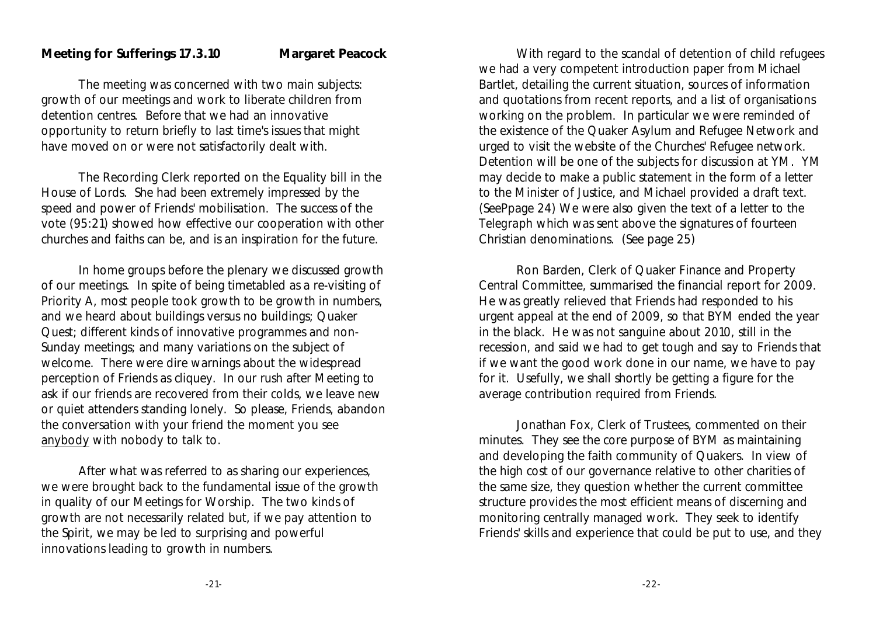#### **Meeting for Sufferings 17.3.10 Margaret Peacock**

The meeting was concerned with two main subjects: growth of our meetings and work to liberate children from detention centres. Before that we had an innovative opportunity to return briefly to last time's issues that might have moved on or were not satisfactorily dealt with.

The Recording Clerk reported on the Equality bill in the House of Lords. She had been extremely impressed by the speed and power of Friends' mobilisation. The success of the vote (95:21) showed how effective our cooperation with other churches and faiths can be, and is an inspiration for the future.

In home groups before the plenary we discussed growth of our meetings. In spite of being timetabled as a re-visiting of Priority A, most people took growth to be growth in numbers, and we heard about buildings versus no buildings; Quaker Quest; different kinds of innovative programmes and non-Sunday meetings; and many variations on the subject of welcome. There were dire warnings about the widespread perception of Friends as cliquey. In our rush after Meeting to ask if our friends are recovered from their colds, we leave new or quiet attenders standing lonely. So please, Friends, abandon the conversation with your friend the moment you see anybody with nobody to talk to.

After what was referred to as sharing our experiences, we were brought back to the fundamental issue of the growth in quality of our Meetings for Worship. The two kinds of growth are not necessarily related but, if we pay attention to the Spirit, we may be led to surprising and powerful innovations leading to growth in numbers.

With regard to the scandal of detention of child refugees we had a very competent introduction paper from Michael Bartlet, detailing the current situation, sources of information and quotations from recent reports, and a list of organisations working on the problem. In particular we were reminded of the existence of the Quaker Asylum and Refugee Network and urged to visit the website of the Churches' Refugee network. Detention will be one of the subjects for discussion at YM. YM may decide to make a public statement in the form of a letter to the Minister of Justice, and Michael provided a draft text. (SeePpage 24) We were also given the text of a letter to the *Telegraph* which was sent above the signatures of fourteen Christian denominations. (See page 25)

Ron Barden, Clerk of Quaker Finance and Property Central Committee, summarised the financial report for 2009. He was greatly relieved that Friends had responded to his urgent appeal at the end of 2009, so that BYM ended the year in the black. He was not sanguine about 2010, still in the recession, and said we had to get tough and say to Friends that if we want the good work done in our name, we have to pay for it. Usefully, we shall shortly be getting a figure for the average contribution required from Friends.

Jonathan Fox, Clerk of Trustees, commented on their minutes. They see the core purpose of BYM as maintaining and developing the faith community of Quakers. In view of the high cost of our governance relative to other charities of the same size, they question whether the current committee structure provides the most efficient means of discerning and monitoring centrally managed work. They seek to identify Friends' skills and experience that could be put to use, and they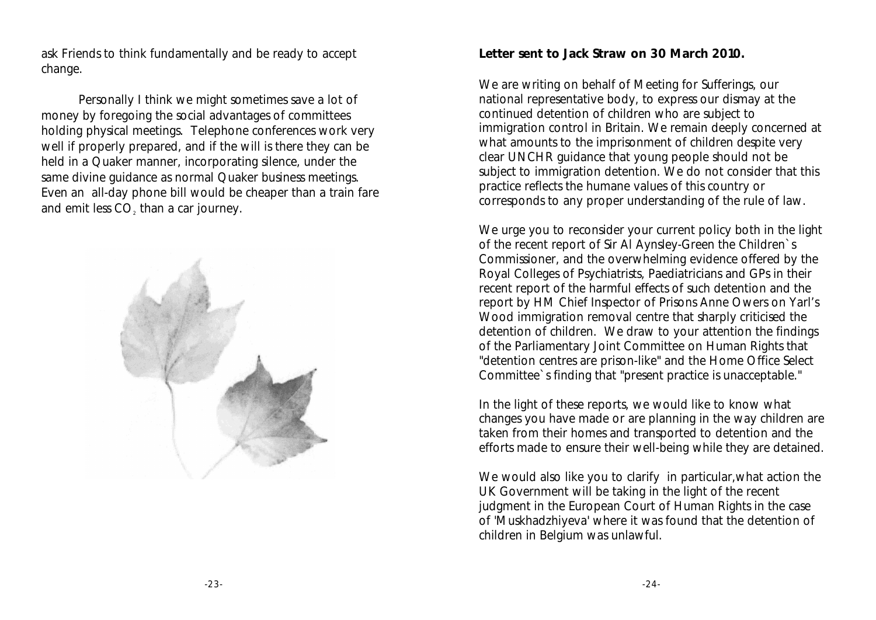ask Friends to think fundamentally and be ready to accept change.

Personally I think we might sometimes save a lot of money by foregoing the social advantages of committees holding physical meetings. Telephone conferences work very well if properly prepared, and if the will is there they can be held in a Quaker manner, incorporating silence, under the same divine guidance as normal Quaker business meetings. Even an all-day phone bill would be cheaper than a train fare and emit less  $\mathsf{CO}_2$  than a car journey.



**Letter sent to Jack Straw on 30 March 2010.**

We are writing on behalf of Meeting for Sufferings, our national representative body, to express our dismay at the continued detention of children who are subject to immigration control in Britain. We remain deeply concerned at what amounts to the imprisonment of children despite very clear UNCHR guidance that young people should not be subject to immigration detention. We do not consider that this practice reflects the humane values of this country or corresponds to any proper understanding of the rule of law.

We urge you to reconsider your current policy both in the light of the recent report of Sir Al Aynsley-Green the Children`s Commissioner, and the overwhelming evidence offered by the Royal Colleges of Psychiatrists, Paediatricians and GPs in their recent report of the harmful effects of such detention and the report by HM Chief Inspector of Prisons Anne Owers on Yarl's Wood immigration removal centre that sharply criticised the detention of children. We draw to your attention the findings of the Parliamentary Joint Committee on Human Rights that "detention centres are prison-like" and the Home Office Select Committee`s finding that "present practice is unacceptable."

In the light of these reports, we would like to know what changes you have made or are planning in the way children are taken from their homes and transported to detention and the efforts made to ensure their well-being while they are detained.

We would also like you to clarify in particular, what action the UK Government will be taking in the light of the recent judgment in the European Court of Human Rights in the case of 'Muskhadzhiyeva' where it was found that the detention of children in Belgium was unlawful.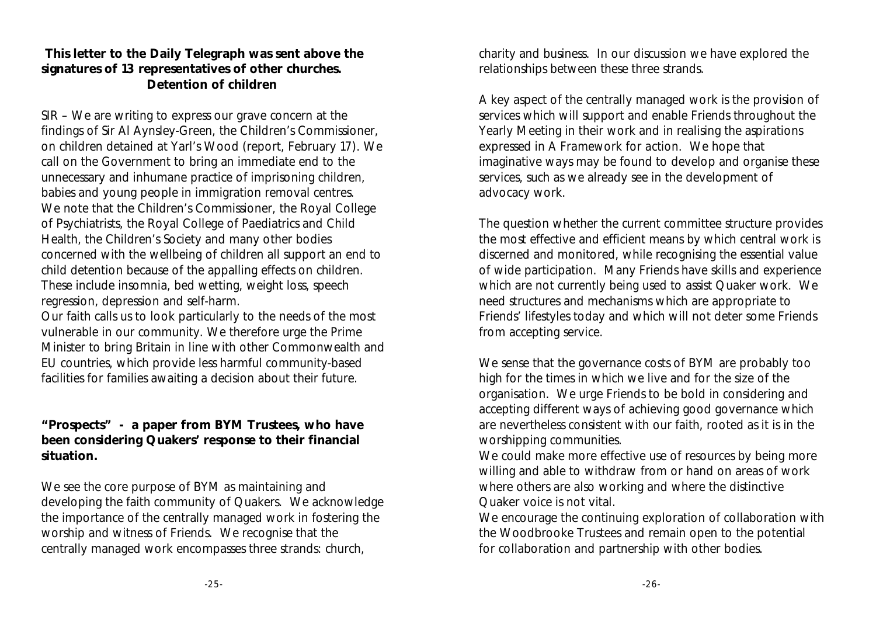**This letter to the Daily Telegraph was sent above the signatures of 13 representatives of other churches. Detention of children**

SIR – We are writing to express our grave concern at the findings of Sir Al Aynsley-Green, the Children's Commissioner, on children detained at Yarl's Wood (report, February 17). We call on the Government to bring an immediate end to the unnecessary and inhumane practice of imprisoning children, babies and young people in immigration removal centres. We note that the Children's Commissioner, the Royal College of Psychiatrists, the Royal College of Paediatrics and Child Health, the Children's Society and many other bodies concerned with the wellbeing of children all support an end to child detention because of the appalling effects on children. These include insomnia, bed wetting, weight loss, speech regression, depression and self-harm.

Our faith calls us to look particularly to the needs of the most vulnerable in our community. We therefore urge the Prime Minister to bring Britain in line with other Commonwealth and EU countries, which provide less harmful community-based facilities for families awaiting a decision about their future.

**"Prospects" - a paper from BYM Trustees, who have been considering Quakers' response to their financial situation.**

We see the core purpose of BYM as maintaining and developing the faith community of Quakers. We acknowledge the importance of the centrally managed work in fostering the worship and witness of Friends. We recognise that the centrally managed work encompasses three strands: church,

charity and business. In our discussion we have explored the relationships between these three strands.

A key aspect of the centrally managed work is the provision of services which will support and enable Friends throughout the Yearly Meeting in their work and in realising the aspirations expressed in *A Framework for action*. We hope that imaginative ways may be found to develop and organise these services, such as we already see in the development of advocacy work.

The question whether the current committee structure provides the most effective and efficient means by which central work is discerned and monitored, while recognising the essential value of wide participation. Many Friends have skills and experience which are not currently being used to assist Quaker work. We need structures and mechanisms which are appropriate to Friends' lifestyles today and which will not deter some Friends from accepting service.

We sense that the governance costs of BYM are probably too high for the times in which we live and for the size of the organisation. We urge Friends to be bold in considering and accepting different ways of achieving good governance which are nevertheless consistent with our faith, rooted as it is in the worshipping communities.

We could make more effective use of resources by being more willing and able to withdraw from or hand on areas of work where others are also working and where the distinctive Quaker voice is not vital.

We encourage the continuing exploration of collaboration with the Woodbrooke Trustees and remain open to the potential for collaboration and partnership with other bodies.